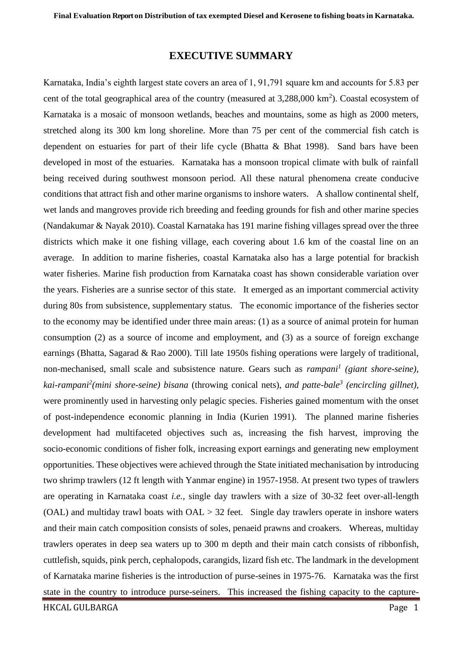## **EXECUTIVE SUMMARY**

Karnataka, India's eighth largest state covers an area of 1, 91,791 square km and accounts for 5.83 per cent of the total geographical area of the country (measured at  $3,288,000 \text{ km}^2$ ). Coastal ecosystem of Karnataka is a mosaic of monsoon wetlands, beaches and mountains, some as high as 2000 meters, stretched along its 300 km long shoreline. More than 75 per cent of the commercial fish catch is dependent on estuaries for part of their life cycle (Bhatta & Bhat 1998). Sand bars have been developed in most of the estuaries. Karnataka has a monsoon tropical climate with bulk of rainfall being received during southwest monsoon period. All these natural phenomena create conducive conditions that attract fish and other marine organisms to inshore waters. A shallow continental shelf, wet lands and mangroves provide rich breeding and feeding grounds for fish and other marine species (Nandakumar & Nayak 2010). Coastal Karnataka has 191 marine fishing villages spread over the three districts which make it one fishing village, each covering about 1.6 km of the coastal line on an average. In addition to marine fisheries, coastal Karnataka also has a large potential for brackish water fisheries. Marine fish production from Karnataka coast has shown considerable variation over the years. Fisheries are a sunrise sector of this state. It emerged as an important commercial activity during 80s from subsistence, supplementary status. The economic importance of the fisheries sector to the economy may be identified under three main areas: (1) as a source of animal protein for human consumption (2) as a source of income and employment, and (3) as a source of foreign exchange earnings (Bhatta, Sagarad & Rao 2000). Till late 1950s fishing operations were largely of traditional, non-mechanised, small scale and subsistence nature. Gears such as *rampani<sup>1</sup> (giant shore-seine), kai-rampani<sup>2</sup> (mini shore-seine) bisana* (throwing conical nets), *and patte-bale<sup>3</sup> (encircling gillnet),*  were prominently used in harvesting only pelagic species. Fisheries gained momentum with the onset of post-independence economic planning in India (Kurien 1991). The planned marine fisheries development had multifaceted objectives such as, increasing the fish harvest, improving the socio-economic conditions of fisher folk, increasing export earnings and generating new employment opportunities. These objectives were achieved through the State initiated mechanisation by introducing two shrimp trawlers (12 ft length with Yanmar engine) in 1957-1958. At present two types of trawlers are operating in Karnataka coast *i.e.,* single day trawlers with a size of 30-32 feet over-all-length (OAL) and multiday trawl boats with  $OAL > 32$  feet. Single day trawlers operate in inshore waters and their main catch composition consists of soles, penaeid prawns and croakers. Whereas, multiday trawlers operates in deep sea waters up to 300 m depth and their main catch consists of ribbonfish, cuttlefish, squids, pink perch, cephalopods, carangids, lizard fish etc. The landmark in the development of Karnataka marine fisheries is the introduction of purse-seines in 1975-76. Karnataka was the first state in the country to introduce purse-seiners. This increased the fishing capacity to the capture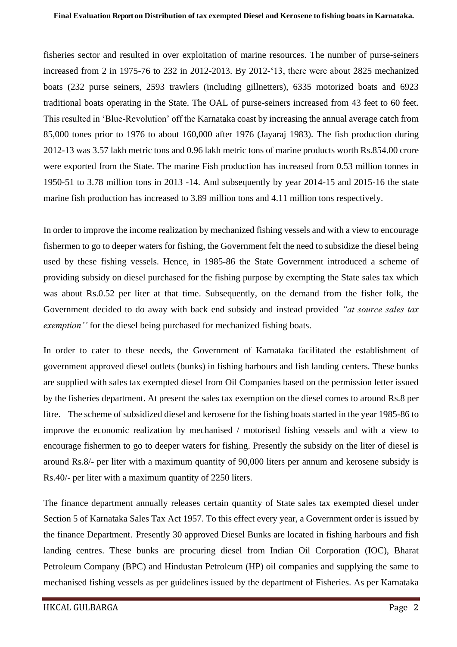fisheries sector and resulted in over exploitation of marine resources. The number of purse-seiners increased from 2 in 1975-76 to 232 in 2012-2013. By 2012-'13, there were about 2825 mechanized boats (232 purse seiners, 2593 trawlers (including gillnetters), 6335 motorized boats and 6923 traditional boats operating in the State. The OAL of purse-seiners increased from 43 feet to 60 feet. This resulted in 'Blue-Revolution' off the Karnataka coast by increasing the annual average catch from 85,000 tones prior to 1976 to about 160,000 after 1976 (Jayaraj 1983). The fish production during 2012-13 was 3.57 lakh metric tons and 0.96 lakh metric tons of marine products worth Rs.854.00 crore were exported from the State. The marine Fish production has increased from 0.53 million tonnes in 1950-51 to 3.78 million tons in 2013 -14. And subsequently by year 2014-15 and 2015-16 the state marine fish production has increased to 3.89 million tons and 4.11 million tons respectively.

In order to improve the income realization by mechanized fishing vessels and with a view to encourage fishermen to go to deeper waters for fishing, the Government felt the need to subsidize the diesel being used by these fishing vessels. Hence, in 1985-86 the State Government introduced a scheme of providing subsidy on diesel purchased for the fishing purpose by exempting the State sales tax which was about Rs.0.52 per liter at that time. Subsequently, on the demand from the fisher folk, the Government decided to do away with back end subsidy and instead provided *"at source sales tax exemption''* for the diesel being purchased for mechanized fishing boats.

In order to cater to these needs, the Government of Karnataka facilitated the establishment of government approved diesel outlets (bunks) in fishing harbours and fish landing centers. These bunks are supplied with sales tax exempted diesel from Oil Companies based on the permission letter issued by the fisheries department. At present the sales tax exemption on the diesel comes to around Rs.8 per litre. The scheme of subsidized diesel and kerosene for the fishing boats started in the year 1985-86 to improve the economic realization by mechanised / motorised fishing vessels and with a view to encourage fishermen to go to deeper waters for fishing. Presently the subsidy on the liter of diesel is around Rs.8/- per liter with a maximum quantity of 90,000 liters per annum and kerosene subsidy is Rs.40/- per liter with a maximum quantity of 2250 liters.

The finance department annually releases certain quantity of State sales tax exempted diesel under Section 5 of Karnataka Sales Tax Act 1957. To this effect every year, a Government order is issued by the finance Department. Presently 30 approved Diesel Bunks are located in fishing harbours and fish landing centres. These bunks are procuring diesel from Indian Oil Corporation (IOC), Bharat Petroleum Company (BPC) and Hindustan Petroleum (HP) oil companies and supplying the same to mechanised fishing vessels as per guidelines issued by the department of Fisheries. As per Karnataka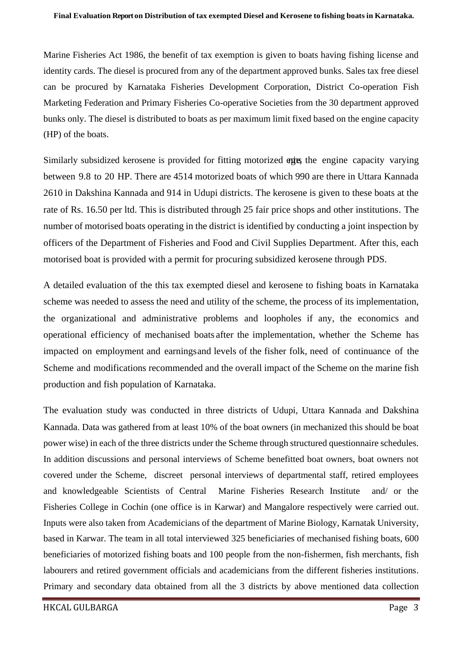Marine Fisheries Act 1986, the benefit of tax exemption is given to boats having fishing license and identity cards. The diesel is procured from any of the department approved bunks. Sales tax free diesel can be procured by Karnataka Fisheries Development Corporation, District Co-operation Fish Marketing Federation and Primary Fisheries Co-operative Societies from the 30 department approved bunks only. The diesel is distributed to boats as per maximum limit fixed based on the engine capacity (HP) of the boats.

Similarly subsidized kerosene is provided for fitting motorized engines, the engine capacity varying between 9.8 to 20 HP. There are 4514 motorized boats of which 990 are there in Uttara Kannada 2610 in Dakshina Kannada and 914 in Udupi districts. The kerosene is given to these boats at the rate of Rs. 16.50 per ltd. This is distributed through 25 fair price shops and other institutions. The number of motorised boats operating in the district is identified by conducting a joint inspection by officers of the Department of Fisheries and Food and Civil Supplies Department. After this, each motorised boat is provided with a permit for procuring subsidized kerosene through PDS.

A detailed evaluation of the this tax exempted diesel and kerosene to fishing boats in Karnataka scheme was needed to assess the need and utility of the scheme, the process of its implementation, the organizational and administrative problems and loopholes if any, the economics and operational efficiency of mechanised boats after the implementation, whether the Scheme has impacted on employment and earningsand levels of the fisher folk, need of continuance of the Scheme and modifications recommended and the overall impact of the Scheme on the marine fish production and fish population of Karnataka.

The evaluation study was conducted in three districts of Udupi, Uttara Kannada and Dakshina Kannada. Data was gathered from at least 10% of the boat owners (in mechanized this should be boat power wise) in each of the three districts under the Scheme through structured questionnaire schedules. In addition discussions and personal interviews of Scheme benefitted boat owners, boat owners not covered under the Scheme, discreet personal interviews of departmental staff, retired employees and knowledgeable Scientists of Central Marine Fisheries Research Institute and/ or the Fisheries College in Cochin (one office is in Karwar) and Mangalore respectively were carried out. Inputs were also taken from Academicians of the department of Marine Biology, Karnatak University, based in Karwar. The team in all total interviewed 325 beneficiaries of mechanised fishing boats, 600 beneficiaries of motorized fishing boats and 100 people from the non-fishermen, fish merchants, fish labourers and retired government officials and academicians from the different fisheries institutions. Primary and secondary data obtained from all the 3 districts by above mentioned data collection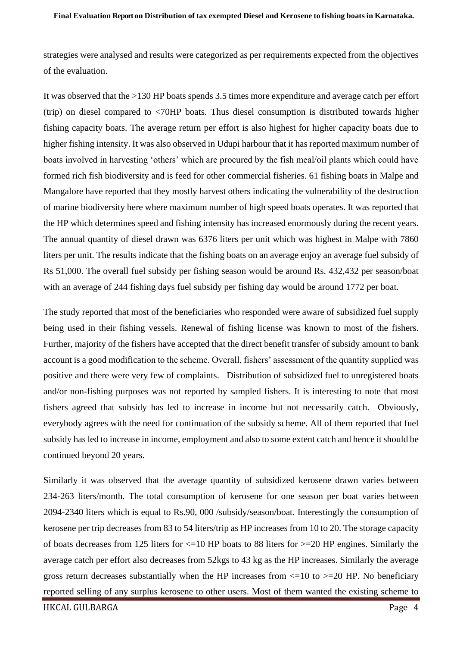strategies were analysed and results were categorized as per requirements expected from the objectives of the evaluation.

It was observed that the >130 HP boats spends 3.5 times more expenditure and average catch per effort (trip) on diesel compared to <70HP boats. Thus diesel consumption is distributed towards higher fishing capacity boats. The average return per effort is also highest for higher capacity boats due to higher fishing intensity. It was also observed in Udupi harbour that it has reported maximum number of boats involved in harvesting 'others' which are procured by the fish meal/oil plants which could have formed rich fish biodiversity and is feed for other commercial fisheries. 61 fishing boats in Malpe and Mangalore have reported that they mostly harvest others indicating the vulnerability of the destruction of marine biodiversity here where maximum number of high speed boats operates. It was reported that the HP which determines speed and fishing intensity has increased enormously during the recent years. The annual quantity of diesel drawn was 6376 liters per unit which was highest in Malpe with 7860 liters per unit. The results indicate that the fishing boats on an average enjoy an average fuel subsidy of Rs 51,000. The overall fuel subsidy per fishing season would be around Rs. 432,432 per season/boat with an average of 244 fishing days fuel subsidy per fishing day would be around 1772 per boat.

The study reported that most of the beneficiaries who responded were aware of subsidized fuel supply being used in their fishing vessels. Renewal of fishing license was known to most of the fishers. Further, majority of the fishers have accepted that the direct benefit transfer of subsidy amount to bank account is a good modification to the scheme. Overall, fishers' assessment of the quantity supplied was positive and there were very few of complaints. Distribution of subsidized fuel to unregistered boats and/or non-fishing purposes was not reported by sampled fishers. It is interesting to note that most fishers agreed that subsidy has led to increase in income but not necessarily catch. Obviously, everybody agrees with the need for continuation of the subsidy scheme. All of them reported that fuel subsidy has led to increase in income, employment and also to some extent catch and hence it should be continued beyond 20 years.

Similarly it was observed that the average quantity of subsidized kerosene drawn varies between 234-263 liters/month. The total consumption of kerosene for one season per boat varies between 2094-2340 liters which is equal to Rs.90, 000 /subsidy/season/boat. Interestingly the consumption of kerosene per trip decreases from 83 to 54 liters/trip as HP increases from 10 to 20. The storage capacity of boats decreases from 125 liters for <=10 HP boats to 88 liters for >=20 HP engines. Similarly the average catch per effort also decreases from 52kgs to 43 kg as the HP increases. Similarly the average gross return decreases substantially when the HP increases from  $\leq$  10 to  $\geq$  20 HP. No beneficiary reported selling of any surplus kerosene to other users. Most of them wanted the existing scheme to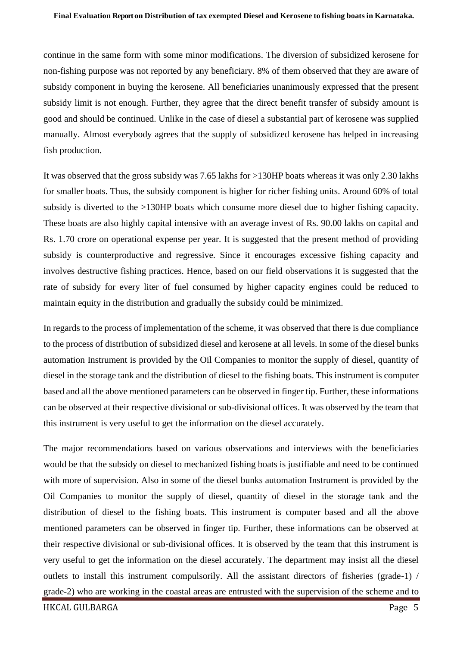continue in the same form with some minor modifications. The diversion of subsidized kerosene for non-fishing purpose was not reported by any beneficiary. 8% of them observed that they are aware of subsidy component in buying the kerosene. All beneficiaries unanimously expressed that the present subsidy limit is not enough. Further, they agree that the direct benefit transfer of subsidy amount is good and should be continued. Unlike in the case of diesel a substantial part of kerosene was supplied manually. Almost everybody agrees that the supply of subsidized kerosene has helped in increasing fish production.

It was observed that the gross subsidy was 7.65 lakhs for >130HP boats whereas it was only 2.30 lakhs for smaller boats. Thus, the subsidy component is higher for richer fishing units. Around 60% of total subsidy is diverted to the >130HP boats which consume more diesel due to higher fishing capacity. These boats are also highly capital intensive with an average invest of Rs. 90.00 lakhs on capital and Rs. 1.70 crore on operational expense per year. It is suggested that the present method of providing subsidy is counterproductive and regressive. Since it encourages excessive fishing capacity and involves destructive fishing practices. Hence, based on our field observations it is suggested that the rate of subsidy for every liter of fuel consumed by higher capacity engines could be reduced to maintain equity in the distribution and gradually the subsidy could be minimized.

In regards to the process of implementation of the scheme, it was observed that there is due compliance to the process of distribution of subsidized diesel and kerosene at all levels. In some of the diesel bunks automation Instrument is provided by the Oil Companies to monitor the supply of diesel, quantity of diesel in the storage tank and the distribution of diesel to the fishing boats. This instrument is computer based and all the above mentioned parameters can be observed in finger tip. Further, these informations can be observed at their respective divisional or sub-divisional offices. It was observed by the team that this instrument is very useful to get the information on the diesel accurately.

The major recommendations based on various observations and interviews with the beneficiaries would be that the subsidy on diesel to mechanized fishing boats is justifiable and need to be continued with more of supervision. Also in some of the diesel bunks automation Instrument is provided by the Oil Companies to monitor the supply of diesel, quantity of diesel in the storage tank and the distribution of diesel to the fishing boats. This instrument is computer based and all the above mentioned parameters can be observed in finger tip. Further, these informations can be observed at their respective divisional or sub-divisional offices. It is observed by the team that this instrument is very useful to get the information on the diesel accurately. The department may insist all the diesel outlets to install this instrument compulsorily. All the assistant directors of fisheries (grade-1) / grade-2) who are working in the coastal areas are entrusted with the supervision of the scheme and to